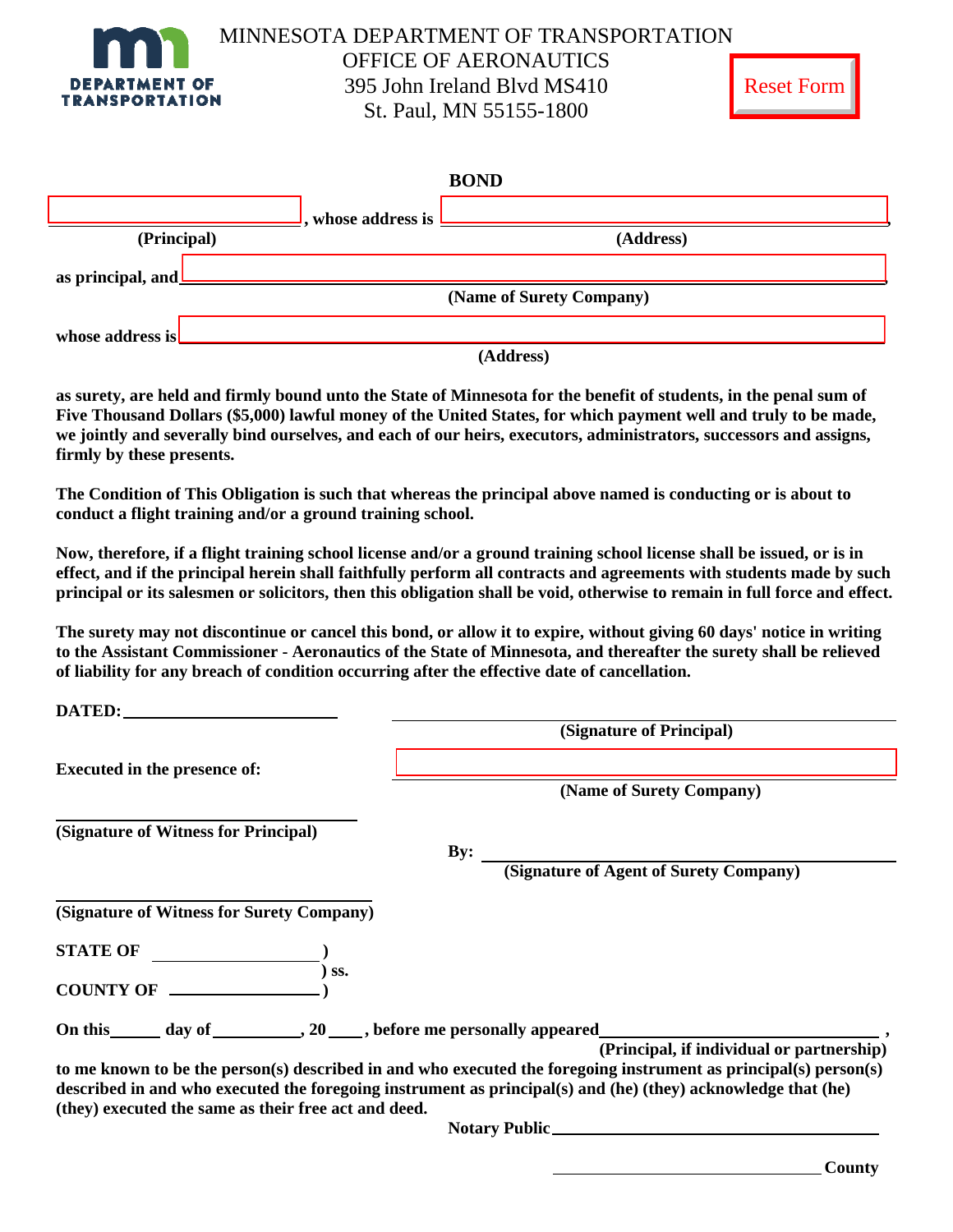

**DATED:** 

| ъŧ.<br>−<br>╰ | ωr |
|---------------|----|
|---------------|----|

|                          |                                             | <b>BOND</b> |  |
|--------------------------|---------------------------------------------|-------------|--|
|                          | , whose address is <b>Lessenge Services</b> |             |  |
| (Principal)              |                                             | (Address)   |  |
| as principal, and $\Box$ |                                             |             |  |
| (Name of Surety Company) |                                             |             |  |
| whose address is         |                                             |             |  |

 **(Address)** 

**as surety, are held and firmly bound unto the State of Minnesota for the benefit of students, in the penal sum of Five Thousand Dollars (\$5,000) lawful money of the United States, for which payment well and truly to be made, we jointly and severally bind ourselves, and each of our heirs, executors, administrators, successors and assigns, firmly by these presents.** 

**The Condition of This Obligation is such that whereas the principal above named is conducting or is about to conduct a flight training and/or a ground training school.** 

**Now, therefore, if a flight training school license and/or a ground training school license shall be issued, or is in effect, and if the principal herein shall faithfully perform all contracts and agreements with students made by such principal or its salesmen or solicitors, then this obligation shall be void, otherwise to remain in full force and effect.** 

**The surety may not discontinue or cancel this bond, or allow it to expire, without giving 60 days' notice in writing to the Assistant Commissioner - Aeronautics of the State of Minnesota, and thereafter the surety shall be relieved of liability for any breach of condition occurring after the effective date of cancellation.** 

| DATED:                                               |                                                                                                                                                                                                                                  |  |  |
|------------------------------------------------------|----------------------------------------------------------------------------------------------------------------------------------------------------------------------------------------------------------------------------------|--|--|
|                                                      | (Signature of Principal)                                                                                                                                                                                                         |  |  |
| <b>Executed in the presence of:</b>                  |                                                                                                                                                                                                                                  |  |  |
|                                                      | (Name of Surety Company)                                                                                                                                                                                                         |  |  |
| (Signature of Witness for Principal)                 |                                                                                                                                                                                                                                  |  |  |
|                                                      | By:                                                                                                                                                                                                                              |  |  |
|                                                      | (Signature of Agent of Surety Company)                                                                                                                                                                                           |  |  |
| (Signature of Witness for Surety Company)            |                                                                                                                                                                                                                                  |  |  |
| <b>STATE OF</b><br>SS.                               |                                                                                                                                                                                                                                  |  |  |
| <b>COUNTY OF</b>                                     |                                                                                                                                                                                                                                  |  |  |
|                                                      |                                                                                                                                                                                                                                  |  |  |
|                                                      | (Principal, if individual or partnership)                                                                                                                                                                                        |  |  |
| (they) executed the same as their free act and deed. | to me known to be the person(s) described in and who executed the foregoing instrument as principal(s) person(s)<br>described in and who executed the foregoing instrument as principal(s) and (he) (they) acknowledge that (he) |  |  |
|                                                      |                                                                                                                                                                                                                                  |  |  |